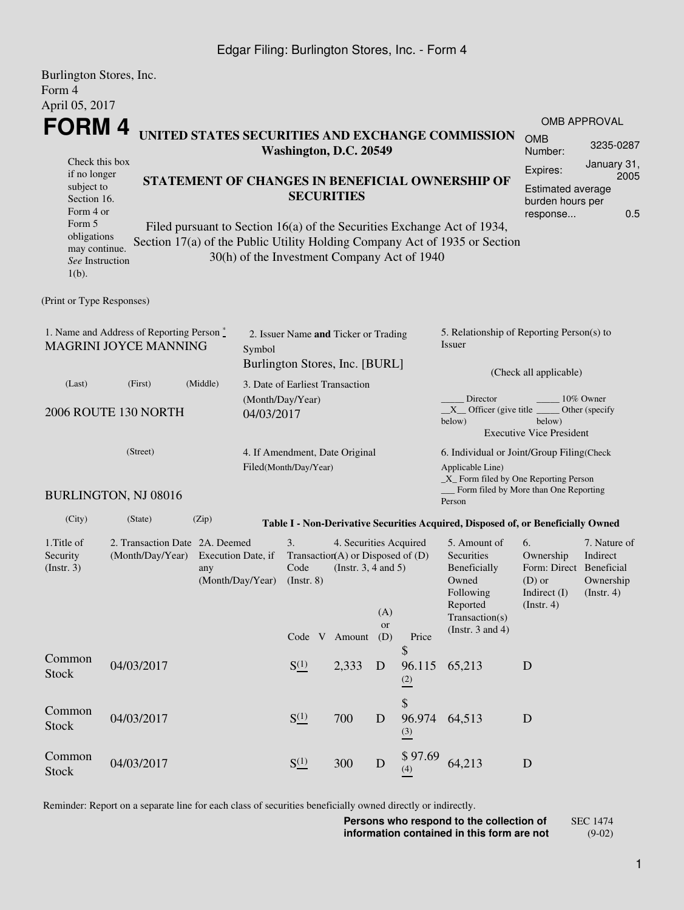## Edgar Filing: Burlington Stores, Inc. - Form 4

| Burlington Stores, Inc.                                                                                                                       |                      |          |                                                                                                                                    |                                                                        |                                             |             |                                                                                                |                                                                                                                                                       |                                                      |              |  |  |
|-----------------------------------------------------------------------------------------------------------------------------------------------|----------------------|----------|------------------------------------------------------------------------------------------------------------------------------------|------------------------------------------------------------------------|---------------------------------------------|-------------|------------------------------------------------------------------------------------------------|-------------------------------------------------------------------------------------------------------------------------------------------------------|------------------------------------------------------|--------------|--|--|
| Form 4<br>April 05, 2017                                                                                                                      |                      |          |                                                                                                                                    |                                                                        |                                             |             |                                                                                                |                                                                                                                                                       |                                                      |              |  |  |
| FORM 4                                                                                                                                        |                      |          |                                                                                                                                    |                                                                        |                                             |             |                                                                                                |                                                                                                                                                       |                                                      | OMB APPROVAL |  |  |
|                                                                                                                                               |                      |          |                                                                                                                                    |                                                                        | Washington, D.C. 20549                      |             |                                                                                                | UNITED STATES SECURITIES AND EXCHANGE COMMISSION                                                                                                      | <b>OMB</b><br>Number:                                | 3235-0287    |  |  |
| Check this box                                                                                                                                |                      |          |                                                                                                                                    |                                                                        |                                             |             |                                                                                                |                                                                                                                                                       | Expires:                                             | January 31,  |  |  |
| if no longer<br>STATEMENT OF CHANGES IN BENEFICIAL OWNERSHIP OF<br>subject to<br>Section 16.<br>Form 4 or                                     |                      |          |                                                                                                                                    |                                                                        | <b>SECURITIES</b>                           |             |                                                                                                |                                                                                                                                                       | Estimated average<br>burden hours per<br>response    | 2005<br>0.5  |  |  |
| Form 5<br>obligations<br>may continue.<br>See Instruction<br>$1(b)$ .                                                                         |                      |          |                                                                                                                                    |                                                                        | 30(h) of the Investment Company Act of 1940 |             |                                                                                                | Filed pursuant to Section 16(a) of the Securities Exchange Act of 1934,<br>Section 17(a) of the Public Utility Holding Company Act of 1935 or Section |                                                      |              |  |  |
| (Print or Type Responses)                                                                                                                     |                      |          |                                                                                                                                    |                                                                        |                                             |             |                                                                                                |                                                                                                                                                       |                                                      |              |  |  |
| 1. Name and Address of Reporting Person $\degree$<br><b>MAGRINI JOYCE MANNING</b><br>Symbol                                                   |                      |          |                                                                                                                                    | 2. Issuer Name and Ticker or Trading<br>Burlington Stores, Inc. [BURL] |                                             |             |                                                                                                | 5. Relationship of Reporting Person(s) to<br>Issuer                                                                                                   |                                                      |              |  |  |
| (Last)                                                                                                                                        | (First)              | (Middle) | 3. Date of Earliest Transaction                                                                                                    |                                                                        |                                             |             |                                                                                                |                                                                                                                                                       | (Check all applicable)                               |              |  |  |
| 2006 ROUTE 130 NORTH<br>04/03/2017                                                                                                            |                      |          |                                                                                                                                    | (Month/Day/Year)                                                       |                                             |             |                                                                                                | Director<br>10% Owner<br>$X$ Officer (give title $\overline{\phantom{a}}$<br>Other (specify<br>below)<br>below)<br><b>Executive Vice President</b>    |                                                      |              |  |  |
|                                                                                                                                               | (Street)             |          |                                                                                                                                    | Filed(Month/Day/Year)                                                  | 4. If Amendment, Date Original              |             |                                                                                                | 6. Individual or Joint/Group Filing(Check<br>Applicable Line)<br>$\_X$ Form filed by One Reporting Person<br>Form filed by More than One Reporting    |                                                      |              |  |  |
|                                                                                                                                               | BURLINGTON, NJ 08016 |          |                                                                                                                                    |                                                                        |                                             |             |                                                                                                | Person                                                                                                                                                |                                                      |              |  |  |
| (City)                                                                                                                                        | (State)              | (Zip)    |                                                                                                                                    |                                                                        |                                             |             |                                                                                                | Table I - Non-Derivative Securities Acquired, Disposed of, or Beneficially Owned                                                                      |                                                      |              |  |  |
| 1. Title of<br>2. Transaction Date 2A. Deemed<br>(Month/Day/Year)<br>Execution Date, if<br>Security<br>(Insert. 3)<br>any<br>(Month/Day/Year) |                      |          | 3.<br>4. Securities Acquired<br>Transaction(A) or Disposed of $(D)$<br>(Instr. $3, 4$ and $5$ )<br>Code<br>$($ Instr. 8 $)$<br>(A) |                                                                        |                                             |             | 5. Amount of<br>Securities<br>Beneficially<br>Owned<br>Following<br>Reported<br>Transaction(s) | 6.<br>Ownership<br>Form: Direct Beneficial<br>$(D)$ or<br>Indirect (I)<br>$($ Instr. 4 $)$                                                            | 7. Nature of<br>Indirect<br>Ownership<br>(Insert. 4) |              |  |  |
|                                                                                                                                               |                      |          |                                                                                                                                    |                                                                        | Code V Amount                               | or<br>(D)   | Price                                                                                          | (Instr. $3$ and $4$ )                                                                                                                                 |                                                      |              |  |  |
| Common<br><b>Stock</b>                                                                                                                        | 04/03/2017           |          |                                                                                                                                    | S(1)                                                                   | 2,333                                       | D           | \$<br>96.115<br>(2)                                                                            | 65,213                                                                                                                                                | D                                                    |              |  |  |
| Common<br><b>Stock</b>                                                                                                                        | 04/03/2017           |          |                                                                                                                                    | $S^{(1)}_{-}$                                                          | 700                                         | $\mathbf D$ | \$<br>96.974<br>$\frac{(3)}{2}$                                                                | 64,513                                                                                                                                                | D                                                    |              |  |  |
| Common<br><b>Stock</b>                                                                                                                        | 04/03/2017           |          |                                                                                                                                    | $S^{(1)}_{-}$                                                          | 300                                         | ${\bf D}$   | \$97.69<br>(4)                                                                                 | 64,213                                                                                                                                                | $\mathbf D$                                          |              |  |  |

Reminder: Report on a separate line for each class of securities beneficially owned directly or indirectly.

**Persons who respond to the collection of information contained in this form are not** SEC 1474 (9-02)

1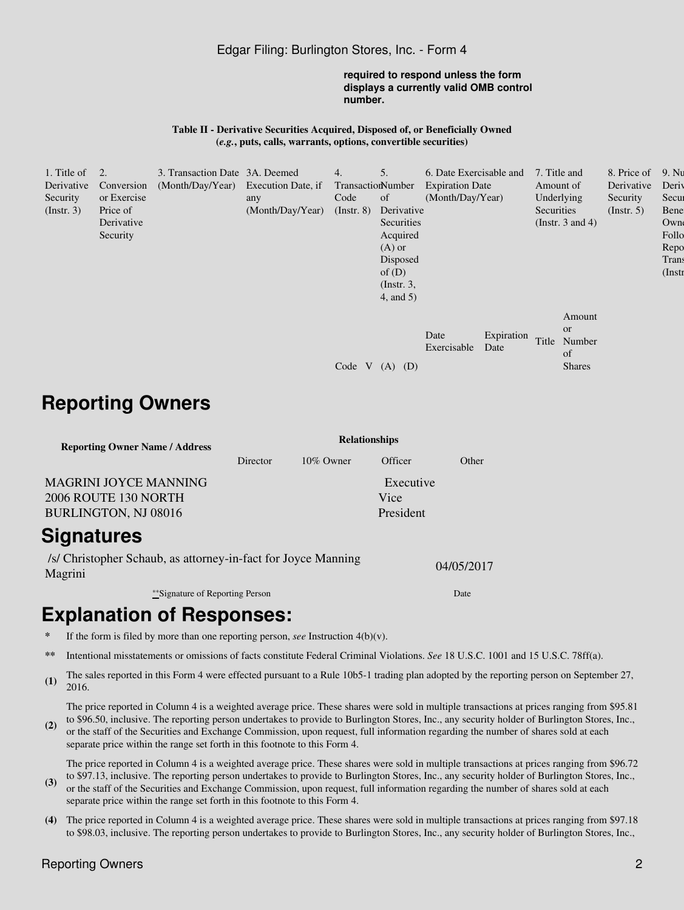### Edgar Filing: Burlington Stores, Inc. - Form 4

#### **required to respond unless the form displays a currently valid OMB control number.**

#### **Table II - Derivative Securities Acquired, Disposed of, or Beneficially Owned (***e.g.***, puts, calls, warrants, options, convertible securities)**

| 1. Title of $\quad 2$ . |             | 3. Transaction Date 3A. Deemed      |                  | 4.                | 5.             | 6. Date Exercisable and |                    | 7. Title and |                                                      | 8. Price of      | 9. Nu     |
|-------------------------|-------------|-------------------------------------|------------------|-------------------|----------------|-------------------------|--------------------|--------------|------------------------------------------------------|------------------|-----------|
| Derivative              | Conversion  | (Month/Day/Year) Execution Date, if |                  | TransactionNumber |                | <b>Expiration Date</b>  |                    | Amount of    |                                                      | Derivative       | Deriy     |
| Security                | or Exercise |                                     | any              | Code              | of             | (Month/Day/Year)        |                    | Underlying   |                                                      | Security         | Secur     |
| (Insert. 3)             | Price of    |                                     | (Month/Day/Year) | $($ Instr. $8)$   | Derivative     |                         |                    | Securities   |                                                      | $($ Instr. 5 $)$ | Bene      |
|                         | Derivative  |                                     |                  |                   | Securities     |                         |                    |              | (Instr. $3$ and $4$ )                                |                  | Owne      |
|                         | Security    |                                     |                  |                   | Acquired       |                         |                    |              |                                                      |                  | Follo     |
|                         |             |                                     |                  |                   | $(A)$ or       |                         |                    |              |                                                      |                  | Repo      |
|                         |             |                                     |                  |                   | Disposed       |                         |                    |              |                                                      |                  | Trans     |
|                         |             |                                     |                  |                   | of $(D)$       |                         |                    |              |                                                      |                  | $($ Instr |
|                         |             |                                     |                  |                   | $($ Instr. 3,  |                         |                    |              |                                                      |                  |           |
|                         |             |                                     |                  |                   | $4$ , and $5)$ |                         |                    |              |                                                      |                  |           |
|                         |             |                                     |                  | Code V            | $(A)$ $(D)$    | Date<br>Exercisable     | Expiration<br>Date | Title        | Amount<br><b>or</b><br>Number<br>of<br><b>Shares</b> |                  |           |
|                         |             |                                     |                  |                   |                |                         |                    |              |                                                      |                  |           |

# **Reporting Owners**

| <b>Reporting Owner Name / Address</b> | <b>Relationships</b> |              |           |       |  |  |  |
|---------------------------------------|----------------------|--------------|-----------|-------|--|--|--|
|                                       | Director             | $10\%$ Owner | Officer   | Other |  |  |  |
| <b>MAGRINI JOYCE MANNING</b>          |                      |              | Executive |       |  |  |  |
| 2006 ROUTE 130 NORTH                  |                      |              | Vice      |       |  |  |  |
| BURLINGTON, NJ 08016                  |                      |              | President |       |  |  |  |
| Signatures                            |                      |              |           |       |  |  |  |

/s/ Christopher Schaub, as attorney-in-fact for Joyce Manning Magrini 04/05/2017

\*\*Signature of Reporting Person Date

# **Explanation of Responses:**

- If the form is filed by more than one reporting person, *see* Instruction  $4(b)(v)$ .
- **\*\*** Intentional misstatements or omissions of facts constitute Federal Criminal Violations. *See* 18 U.S.C. 1001 and 15 U.S.C. 78ff(a).
- (1) The sales reported in this Form 4 were effected pursuant to a Rule 10b5-1 trading plan adopted by the reporting person on September 27, 2016.

The price reported in Column 4 is a weighted average price. These shares were sold in multiple transactions at prices ranging from \$95.81 to \$96.50, inclusive. The reporting person undertakes to provide to Burlington Stores, Inc., any security holder of Burlington Stores, Inc.,

**(2)** or the staff of the Securities and Exchange Commission, upon request, full information regarding the number of shares sold at each separate price within the range set forth in this footnote to this Form 4.

The price reported in Column 4 is a weighted average price. These shares were sold in multiple transactions at prices ranging from \$96.72 to \$97.13, inclusive. The reporting person undertakes to provide to Burlington Stores, Inc., any security holder of Burlington Stores, Inc.,

- **(3)** or the staff of the Securities and Exchange Commission, upon request, full information regarding the number of shares sold at each separate price within the range set forth in this footnote to this Form 4.
- **(4)** The price reported in Column 4 is a weighted average price. These shares were sold in multiple transactions at prices ranging from \$97.18 to \$98.03, inclusive. The reporting person undertakes to provide to Burlington Stores, Inc., any security holder of Burlington Stores, Inc.,